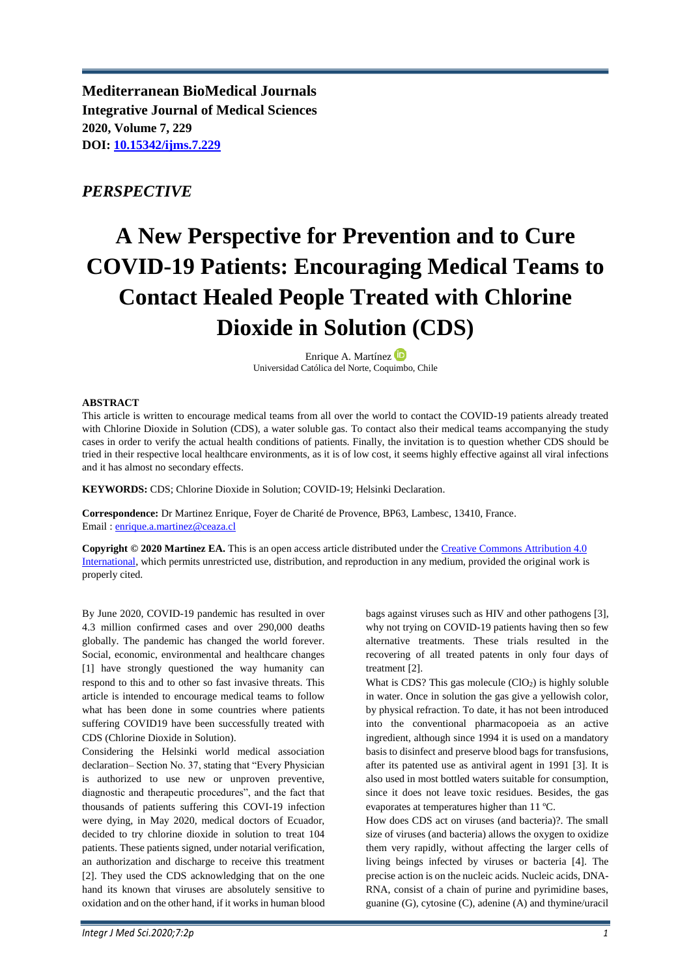**Mediterranean BioMedical Journals Integrative Journal of Medical Sciences 2020, Volume 7, 229 DOI: [10.15342/ijms.7.229](https://doi.org/10.15342/ijms.7.229)**

## *PERSPECTIVE*

# **A New Perspective for Prevention and to Cure COVID-19 Patients: Encouraging Medical Teams to Contact Healed People Treated with Chlorine Dioxide in Solution (CDS)**

Enrique A. Martínez Universidad Católica del Norte, Coquimbo, Chile

#### **ABSTRACT**

This article is written to encourage medical teams from all over the world to contact the COVID-19 patients already treated with Chlorine Dioxide in Solution (CDS), a water soluble gas. To contact also their medical teams accompanying the study cases in order to verify the actual health conditions of patients. Finally, the invitation is to question whether CDS should be tried in their respective local healthcare environments, as it is of low cost, it seems highly effective against all viral infections and it has almost no secondary effects.

**KEYWORDS:** CDS; Chlorine Dioxide in Solution; COVID-19; Helsinki Declaration.

**Correspondence:** Dr Martinez Enrique, Foyer de Charité de Provence, BP63, Lambesc, 13410, France. Email : [enrique.a.martinez@ceaza.cl](mailto:enrique.a.martinez@ceaza.cl)

**Copyright © 2020 Martinez EA.** This is an open access article distributed under the [Creative Commons Attribution 4.0](https://creativecommons.org/licenses/by/4.0/)  [International,](https://creativecommons.org/licenses/by/4.0/) which permits unrestricted use, distribution, and reproduction in any medium, provided the original work is properly cited.

By June 2020, COVID-19 pandemic has resulted in over 4.3 million confirmed cases and over 290,000 deaths globally. The pandemic has changed the world forever. Social, economic, environmental and healthcare changes [1] have strongly questioned the way humanity can respond to this and to other so fast invasive threats. This article is intended to encourage medical teams to follow what has been done in some countries where patients suffering COVID19 have been successfully treated with CDS (Chlorine Dioxide in Solution).

Considering the Helsinki world medical association declaration– Section No. 37, stating that "Every Physician is authorized to use new or unproven preventive, diagnostic and therapeutic procedures", and the fact that thousands of patients suffering this COVI-19 infection were dying, in May 2020, medical doctors of Ecuador, decided to try chlorine dioxide in solution to treat 104 patients. These patients signed, under notarial verification, an authorization and discharge to receive this treatment [2]. They used the CDS acknowledging that on the one hand its known that viruses are absolutely sensitive to oxidation and on the other hand, if it works in human blood

bags against viruses such as HIV and other pathogens [3], why not trying on COVID-19 patients having then so few alternative treatments. These trials resulted in the recovering of all treated patents in only four days of treatment [2].

What is  $CDS$ ? This gas molecule  $(CIO<sub>2</sub>)$  is highly soluble in water. Once in solution the gas give a yellowish color, by physical refraction. To date, it has not been introduced into the conventional pharmacopoeia as an active ingredient, although since 1994 it is used on a mandatory basis to disinfect and preserve blood bags for transfusions, after its patented use as antiviral agent in 1991 [3]. It is also used in most bottled waters suitable for consumption, since it does not leave toxic residues. Besides, the gas evaporates at temperatures higher than 11 ºC.

How does CDS act on viruses (and bacteria)?. The small size of viruses (and bacteria) allows the oxygen to oxidize them very rapidly, without affecting the larger cells of living beings infected by viruses or bacteria [4]. The precise action is on the nucleic acids. Nucleic acids, DNA-RNA, consist of a chain of purine and pyrimidine bases, guanine (G), cytosine (C), adenine (A) and thymine/uracil